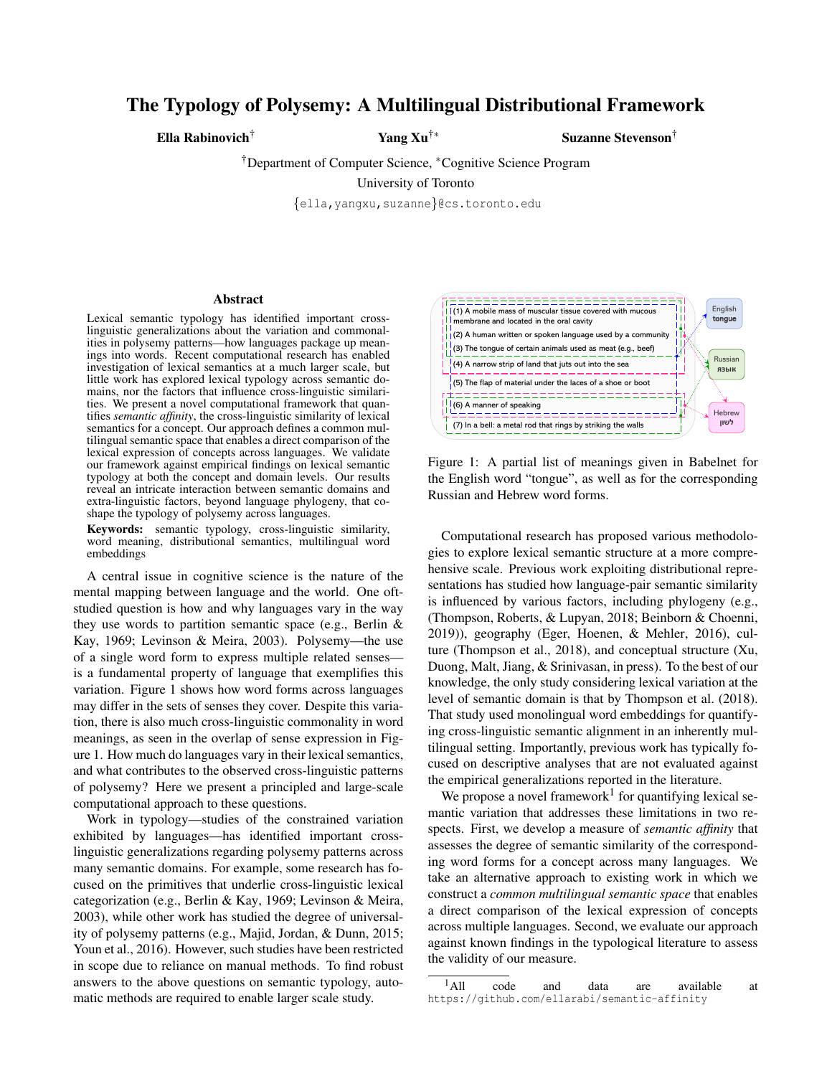# The Typology of Polysemy: A Multilingual Distributional Framework

Ella Rabinovich† Yang Xu†<sup>∗</sup> Suzanne Stevenson†

†Department of Computer Science, <sup>∗</sup>Cognitive Science Program

University of Toronto

{ella,yangxu,suzanne}@cs.toronto.edu

### Abstract

Lexical semantic typology has identified important crosslinguistic generalizations about the variation and commonalities in polysemy patterns—how languages package up meanings into words. Recent computational research has enabled investigation of lexical semantics at a much larger scale, but little work has explored lexical typology across semantic domains, nor the factors that influence cross-linguistic similarities. We present a novel computational framework that quantifies *semantic affinity*, the cross-linguistic similarity of lexical semantics for a concept. Our approach defines a common multilingual semantic space that enables a direct comparison of the lexical expression of concepts across languages. We validate our framework against empirical findings on lexical semantic typology at both the concept and domain levels. Our results reveal an intricate interaction between semantic domains and extra-linguistic factors, beyond language phylogeny, that coshape the typology of polysemy across languages.

Keywords: semantic typology, cross-linguistic similarity, word meaning, distributional semantics, multilingual word embeddings

A central issue in cognitive science is the nature of the mental mapping between language and the world. One oftstudied question is how and why languages vary in the way they use words to partition semantic space (e.g., Berlin & Kay, 1969; Levinson & Meira, 2003). Polysemy—the use of a single word form to express multiple related senses is a fundamental property of language that exemplifies this variation. Figure 1 shows how word forms across languages may differ in the sets of senses they cover. Despite this variation, there is also much cross-linguistic commonality in word meanings, as seen in the overlap of sense expression in Figure 1. How much do languages vary in their lexical semantics, and what contributes to the observed cross-linguistic patterns of polysemy? Here we present a principled and large-scale computational approach to these questions.

Work in typology—studies of the constrained variation exhibited by languages—has identified important crosslinguistic generalizations regarding polysemy patterns across many semantic domains. For example, some research has focused on the primitives that underlie cross-linguistic lexical categorization (e.g., Berlin & Kay, 1969; Levinson & Meira, 2003), while other work has studied the degree of universality of polysemy patterns (e.g., Majid, Jordan, & Dunn, 2015; Youn et al., 2016). However, such studies have been restricted in scope due to reliance on manual methods. To find robust answers to the above questions on semantic typology, automatic methods are required to enable larger scale study.



Figure 1: A partial list of meanings given in Babelnet for the English word "tongue", as well as for the corresponding Russian and Hebrew word forms.

Computational research has proposed various methodologies to explore lexical semantic structure at a more comprehensive scale. Previous work exploiting distributional representations has studied how language-pair semantic similarity is influenced by various factors, including phylogeny (e.g., (Thompson, Roberts, & Lupyan, 2018; Beinborn & Choenni, 2019)), geography (Eger, Hoenen, & Mehler, 2016), culture (Thompson et al., 2018), and conceptual structure (Xu, Duong, Malt, Jiang, & Srinivasan, in press). To the best of our knowledge, the only study considering lexical variation at the level of semantic domain is that by Thompson et al. (2018). That study used monolingual word embeddings for quantifying cross-linguistic semantic alignment in an inherently multilingual setting. Importantly, previous work has typically focused on descriptive analyses that are not evaluated against the empirical generalizations reported in the literature.

We propose a novel framework<sup>1</sup> for quantifying lexical semantic variation that addresses these limitations in two respects. First, we develop a measure of *semantic affinity* that assesses the degree of semantic similarity of the corresponding word forms for a concept across many languages. We take an alternative approach to existing work in which we construct a *common multilingual semantic space* that enables a direct comparison of the lexical expression of concepts across multiple languages. Second, we evaluate our approach against known findings in the typological literature to assess the validity of our measure.

<sup>&</sup>lt;sup>1</sup>All code and data are available at https://github.com/ellarabi/semantic-affinity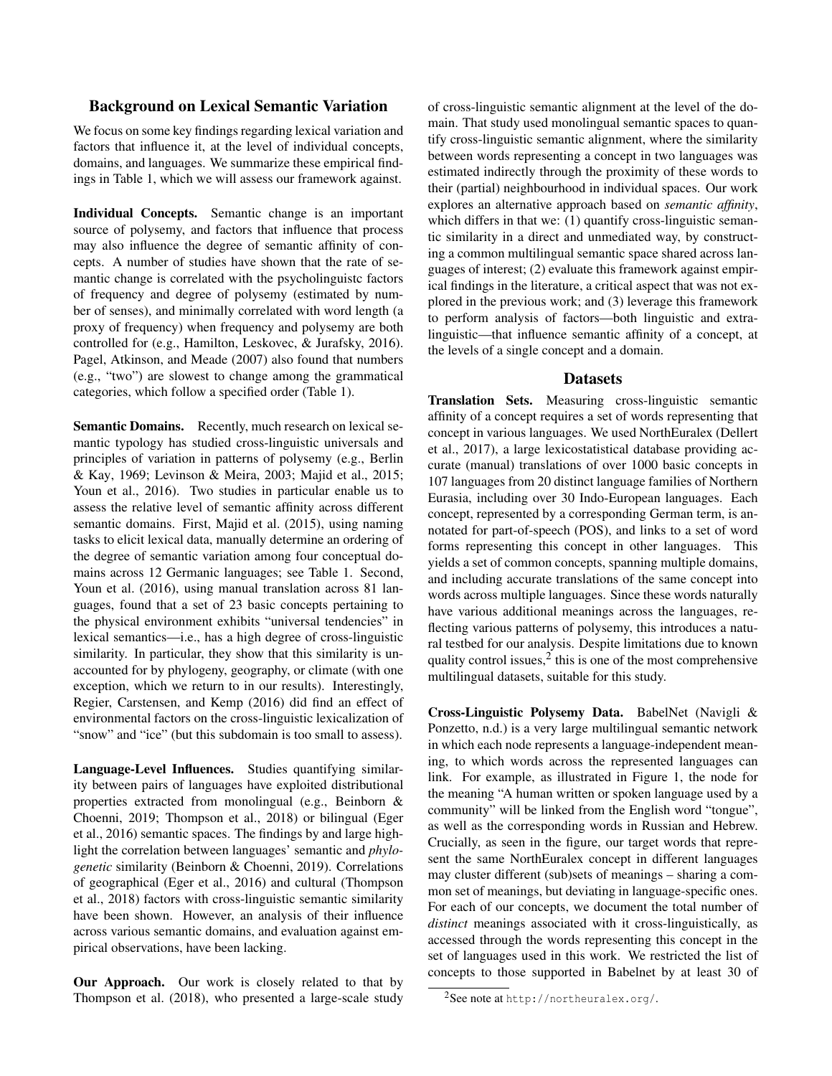## Background on Lexical Semantic Variation

We focus on some key findings regarding lexical variation and factors that influence it, at the level of individual concepts, domains, and languages. We summarize these empirical findings in Table 1, which we will assess our framework against.

Individual Concepts. Semantic change is an important source of polysemy, and factors that influence that process may also influence the degree of semantic affinity of concepts. A number of studies have shown that the rate of semantic change is correlated with the psycholinguistc factors of frequency and degree of polysemy (estimated by number of senses), and minimally correlated with word length (a proxy of frequency) when frequency and polysemy are both controlled for (e.g., Hamilton, Leskovec, & Jurafsky, 2016). Pagel, Atkinson, and Meade (2007) also found that numbers (e.g., "two") are slowest to change among the grammatical categories, which follow a specified order (Table 1).

Semantic Domains. Recently, much research on lexical semantic typology has studied cross-linguistic universals and principles of variation in patterns of polysemy (e.g., Berlin & Kay, 1969; Levinson & Meira, 2003; Majid et al., 2015; Youn et al., 2016). Two studies in particular enable us to assess the relative level of semantic affinity across different semantic domains. First, Majid et al. (2015), using naming tasks to elicit lexical data, manually determine an ordering of the degree of semantic variation among four conceptual domains across 12 Germanic languages; see Table 1. Second, Youn et al. (2016), using manual translation across 81 languages, found that a set of 23 basic concepts pertaining to the physical environment exhibits "universal tendencies" in lexical semantics—i.e., has a high degree of cross-linguistic similarity. In particular, they show that this similarity is unaccounted for by phylogeny, geography, or climate (with one exception, which we return to in our results). Interestingly, Regier, Carstensen, and Kemp (2016) did find an effect of environmental factors on the cross-linguistic lexicalization of "snow" and "ice" (but this subdomain is too small to assess).

Language-Level Influences. Studies quantifying similarity between pairs of languages have exploited distributional properties extracted from monolingual (e.g., Beinborn & Choenni, 2019; Thompson et al., 2018) or bilingual (Eger et al., 2016) semantic spaces. The findings by and large highlight the correlation between languages' semantic and *phylogenetic* similarity (Beinborn & Choenni, 2019). Correlations of geographical (Eger et al., 2016) and cultural (Thompson et al., 2018) factors with cross-linguistic semantic similarity have been shown. However, an analysis of their influence across various semantic domains, and evaluation against empirical observations, have been lacking.

Our Approach. Our work is closely related to that by Thompson et al. (2018), who presented a large-scale study of cross-linguistic semantic alignment at the level of the domain. That study used monolingual semantic spaces to quantify cross-linguistic semantic alignment, where the similarity between words representing a concept in two languages was estimated indirectly through the proximity of these words to their (partial) neighbourhood in individual spaces. Our work explores an alternative approach based on *semantic affinity*, which differs in that we: (1) quantify cross-linguistic semantic similarity in a direct and unmediated way, by constructing a common multilingual semantic space shared across languages of interest; (2) evaluate this framework against empirical findings in the literature, a critical aspect that was not explored in the previous work; and (3) leverage this framework to perform analysis of factors—both linguistic and extralinguistic—that influence semantic affinity of a concept, at the levels of a single concept and a domain.

### **Datasets**

Translation Sets. Measuring cross-linguistic semantic affinity of a concept requires a set of words representing that concept in various languages. We used NorthEuralex (Dellert et al., 2017), a large lexicostatistical database providing accurate (manual) translations of over 1000 basic concepts in 107 languages from 20 distinct language families of Northern Eurasia, including over 30 Indo-European languages. Each concept, represented by a corresponding German term, is annotated for part-of-speech (POS), and links to a set of word forms representing this concept in other languages. This yields a set of common concepts, spanning multiple domains, and including accurate translations of the same concept into words across multiple languages. Since these words naturally have various additional meanings across the languages, reflecting various patterns of polysemy, this introduces a natural testbed for our analysis. Despite limitations due to known quality control issues, $\frac{2}{3}$  this is one of the most comprehensive multilingual datasets, suitable for this study.

Cross-Linguistic Polysemy Data. BabelNet (Navigli & Ponzetto, n.d.) is a very large multilingual semantic network in which each node represents a language-independent meaning, to which words across the represented languages can link. For example, as illustrated in Figure 1, the node for the meaning "A human written or spoken language used by a community" will be linked from the English word "tongue", as well as the corresponding words in Russian and Hebrew. Crucially, as seen in the figure, our target words that represent the same NorthEuralex concept in different languages may cluster different (sub)sets of meanings – sharing a common set of meanings, but deviating in language-specific ones. For each of our concepts, we document the total number of *distinct* meanings associated with it cross-linguistically, as accessed through the words representing this concept in the set of languages used in this work. We restricted the list of concepts to those supported in Babelnet by at least 30 of

<sup>2</sup>See note at http://northeuralex.org/.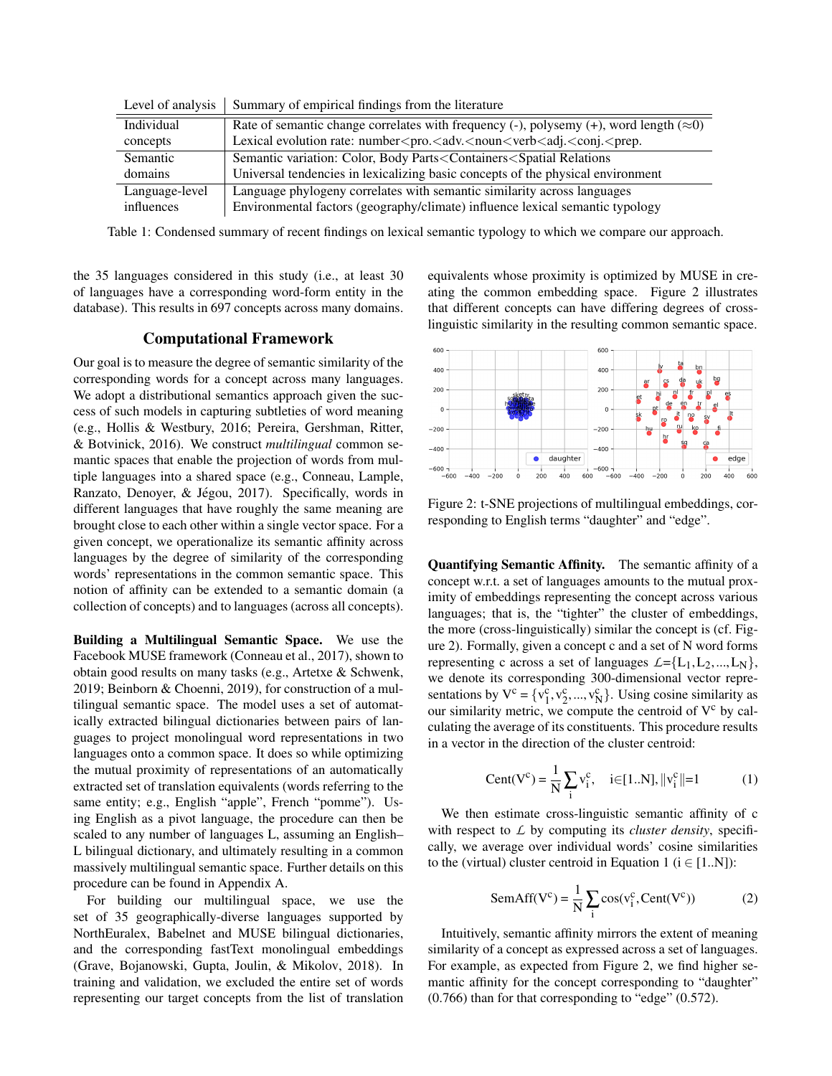| Level of analysis | Summary of empirical findings from the literature                                                                    |
|-------------------|----------------------------------------------------------------------------------------------------------------------|
| Individual        | Rate of semantic change correlates with frequency (-), polysemy (+), word length ( $\approx$ 0)                      |
| concepts          | Lexical evolution rate: number <pro.<adv.<noun<verb<adj.<conj.<prep.< td=""></pro.<adv.<noun<verb<adj.<conj.<prep.<> |
| Semantic          | Semantic variation: Color, Body Parts <containers<spatial relations<="" td=""></containers<spatial>                  |
| domains           | Universal tendencies in lexicalizing basic concepts of the physical environment                                      |
| Language-level    | Language phylogeny correlates with semantic similarity across languages                                              |
| influences        | Environmental factors (geography/climate) influence lexical semantic typology                                        |

Table 1: Condensed summary of recent findings on lexical semantic typology to which we compare our approach.

the 35 languages considered in this study (i.e., at least 30 of languages have a corresponding word-form entity in the database). This results in 697 concepts across many domains.

## Computational Framework

Our goal is to measure the degree of semantic similarity of the corresponding words for a concept across many languages. We adopt a distributional semantics approach given the success of such models in capturing subtleties of word meaning (e.g., Hollis & Westbury, 2016; Pereira, Gershman, Ritter, & Botvinick, 2016). We construct *multilingual* common semantic spaces that enable the projection of words from multiple languages into a shared space (e.g., Conneau, Lample, Ranzato, Denoyer, & Jégou, 2017). Specifically, words in different languages that have roughly the same meaning are brought close to each other within a single vector space. For a given concept, we operationalize its semantic affinity across languages by the degree of similarity of the corresponding words' representations in the common semantic space. This notion of affinity can be extended to a semantic domain (a collection of concepts) and to languages (across all concepts).

Building a Multilingual Semantic Space. We use the Facebook MUSE framework (Conneau et al., 2017), shown to obtain good results on many tasks (e.g., Artetxe & Schwenk, 2019; Beinborn & Choenni, 2019), for construction of a multilingual semantic space. The model uses a set of automatically extracted bilingual dictionaries between pairs of languages to project monolingual word representations in two languages onto a common space. It does so while optimizing the mutual proximity of representations of an automatically extracted set of translation equivalents (words referring to the same entity; e.g., English "apple", French "pomme"). Using English as a pivot language, the procedure can then be scaled to any number of languages L, assuming an English– L bilingual dictionary, and ultimately resulting in a common massively multilingual semantic space. Further details on this procedure can be found in Appendix A.

For building our multilingual space, we use the set of 35 geographically-diverse languages supported by NorthEuralex, Babelnet and MUSE bilingual dictionaries, and the corresponding fastText monolingual embeddings (Grave, Bojanowski, Gupta, Joulin, & Mikolov, 2018). In training and validation, we excluded the entire set of words representing our target concepts from the list of translation equivalents whose proximity is optimized by MUSE in creating the common embedding space. Figure 2 illustrates that different concepts can have differing degrees of crosslinguistic similarity in the resulting common semantic space.



Figure 2: t-SNE projections of multilingual embeddings, corresponding to English terms "daughter" and "edge".

Quantifying Semantic Affinity. The semantic affinity of a concept w.r.t. a set of languages amounts to the mutual proximity of embeddings representing the concept across various languages; that is, the "tighter" the cluster of embeddings, the more (cross-linguistically) similar the concept is (cf. Figure 2). Formally, given a concept c and a set of N word forms representing c across a set of languages  $L = \{L_1, L_2, ..., L_N\},\$ we denote its corresponding 300-dimensional vector representations by  $V^c = \{v_1^c, v_2^c, ..., v_N^c\}$ . Using cosine similarity as our similarity metric, we compute the centroid of  $V^c$  by calculating the average of its constituents. This procedure results in a vector in the direction of the cluster centroid:

Cent(V<sup>c</sup>) = 
$$
\frac{1}{N} \sum_{i} v_i^c
$$
, i<sub>∈</sub>[1..N], ||v<sub>i</sub><sup>c</sup>||=1 (1)

We then estimate cross-linguistic semantic affinity of c with respect to *L* by computing its *cluster density*, specifically, we average over individual words' cosine similarities to the (virtual) cluster centroid in Equation 1 ( $i \in [1..N]$ ):

$$
SemAff(V^{c}) = \frac{1}{N} \sum_{i} cos(v_{i}^{c}, Cent(V^{c}))
$$
 (2)

Intuitively, semantic affinity mirrors the extent of meaning similarity of a concept as expressed across a set of languages. For example, as expected from Figure 2, we find higher semantic affinity for the concept corresponding to "daughter" (0.766) than for that corresponding to "edge" (0.572).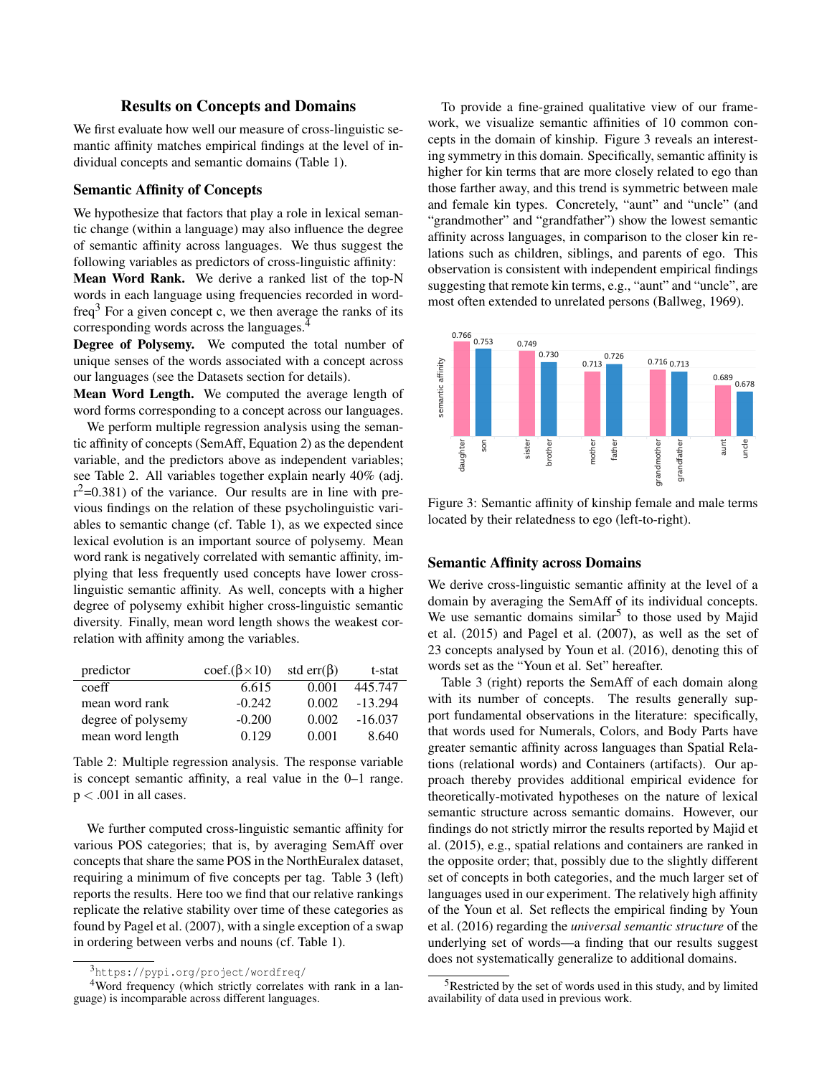### Results on Concepts and Domains

We first evaluate how well our measure of cross-linguistic semantic affinity matches empirical findings at the level of individual concepts and semantic domains (Table 1).

### Semantic Affinity of Concepts

We hypothesize that factors that play a role in lexical semantic change (within a language) may also influence the degree of semantic affinity across languages. We thus suggest the following variables as predictors of cross-linguistic affinity:

Mean Word Rank. We derive a ranked list of the top-N words in each language using frequencies recorded in word $freq<sup>3</sup>$  For a given concept c, we then average the ranks of its corresponding words across the languages.<sup>4</sup>

Degree of Polysemy. We computed the total number of unique senses of the words associated with a concept across our languages (see the Datasets section for details).

Mean Word Length. We computed the average length of word forms corresponding to a concept across our languages.

We perform multiple regression analysis using the semantic affinity of concepts (SemAff, Equation 2) as the dependent variable, and the predictors above as independent variables; see Table 2. All variables together explain nearly 40% (adj.  $r^2$ =0.381) of the variance. Our results are in line with previous findings on the relation of these psycholinguistic variables to semantic change (cf. Table 1), as we expected since lexical evolution is an important source of polysemy. Mean word rank is negatively correlated with semantic affinity, implying that less frequently used concepts have lower crosslinguistic semantic affinity. As well, concepts with a higher degree of polysemy exhibit higher cross-linguistic semantic diversity. Finally, mean word length shows the weakest correlation with affinity among the variables.

| predictor          | $\text{coef.}(\beta \times 10)$ | std err $(\beta)$ | t-stat    |
|--------------------|---------------------------------|-------------------|-----------|
| coeff              | 6.615                           | 0.001             | 445.747   |
| mean word rank     | $-0.242$                        | 0.002             | $-13.294$ |
| degree of polysemy | $-0.200$                        | 0.002             | $-16.037$ |
| mean word length   | 0.129                           | 0.001             | 8.640     |

Table 2: Multiple regression analysis. The response variable is concept semantic affinity, a real value in the 0–1 range.  $p < .001$  in all cases.

We further computed cross-linguistic semantic affinity for various POS categories; that is, by averaging SemAff over concepts that share the same POS in the NorthEuralex dataset, requiring a minimum of five concepts per tag. Table 3 (left) reports the results. Here too we find that our relative rankings replicate the relative stability over time of these categories as found by Pagel et al. (2007), with a single exception of a swap in ordering between verbs and nouns (cf. Table 1).

To provide a fine-grained qualitative view of our framework, we visualize semantic affinities of 10 common concepts in the domain of kinship. Figure 3 reveals an interesting symmetry in this domain. Specifically, semantic affinity is higher for kin terms that are more closely related to ego than those farther away, and this trend is symmetric between male and female kin types. Concretely, "aunt" and "uncle" (and "grandmother" and "grandfather") show the lowest semantic affinity across languages, in comparison to the closer kin relations such as children, siblings, and parents of ego. This observation is consistent with independent empirical findings suggesting that remote kin terms, e.g., "aunt" and "uncle", are most often extended to unrelated persons (Ballweg, 1969).



Figure 3: Semantic affinity of kinship female and male terms located by their relatedness to ego (left-to-right).

#### Semantic Affinity across Domains

We derive cross-linguistic semantic affinity at the level of a domain by averaging the SemAff of its individual concepts. We use semantic domains similar<sup>5</sup> to those used by Majid et al. (2015) and Pagel et al. (2007), as well as the set of 23 concepts analysed by Youn et al. (2016), denoting this of words set as the "Youn et al. Set" hereafter.

Table 3 (right) reports the SemAff of each domain along with its number of concepts. The results generally support fundamental observations in the literature: specifically, that words used for Numerals, Colors, and Body Parts have greater semantic affinity across languages than Spatial Relations (relational words) and Containers (artifacts). Our approach thereby provides additional empirical evidence for theoretically-motivated hypotheses on the nature of lexical semantic structure across semantic domains. However, our findings do not strictly mirror the results reported by Majid et al. (2015), e.g., spatial relations and containers are ranked in the opposite order; that, possibly due to the slightly different set of concepts in both categories, and the much larger set of languages used in our experiment. The relatively high affinity of the Youn et al. Set reflects the empirical finding by Youn et al. (2016) regarding the *universal semantic structure* of the underlying set of words—a finding that our results suggest does not systematically generalize to additional domains.

<sup>3</sup>https://pypi.org/project/wordfreq/

<sup>&</sup>lt;sup>4</sup>Word frequency (which strictly correlates with rank in a language) is incomparable across different languages.

<sup>&</sup>lt;sup>5</sup>Restricted by the set of words used in this study, and by limited availability of data used in previous work.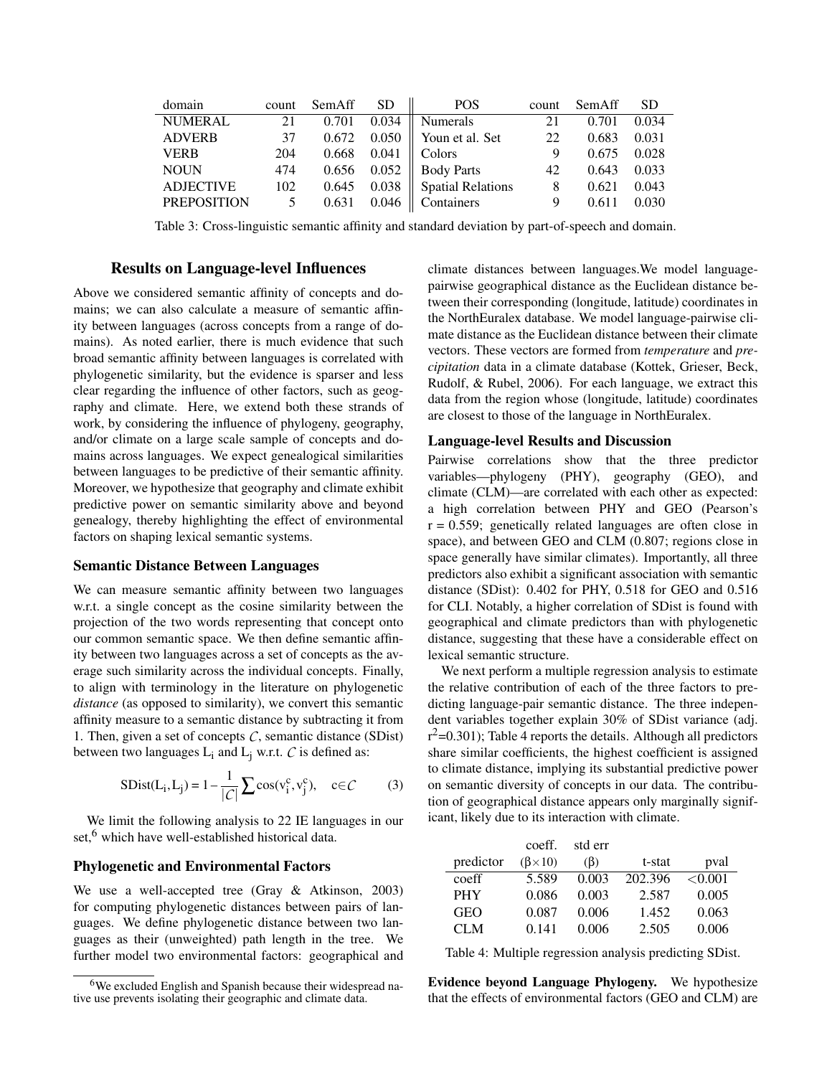| domain             | count          | SemAff | SD. | POS                                     |                | count SemAff | <b>SD</b> |
|--------------------|----------------|--------|-----|-----------------------------------------|----------------|--------------|-----------|
| <b>NUMERAL</b>     | 21             | 0.701  |     | $0.034$   Numerals                      | 21             | 0.701        | 0.034     |
| <b>ADVERB</b>      | 37             |        |     | 0.672 0.050 $\parallel$ Youn et al. Set | 22             | 0.683        | 0.031     |
| <b>VERB</b>        | 204            | 0.668  |     | $0.041$   Colors                        | 9              | 0.675        | 0.028     |
| <b>NOUN</b>        | 474            |        |     | $0.656$ 0.052   Body Parts              | 42             | 0.643        | 0.033     |
| <b>ADJECTIVE</b>   | 102            | 0.645  |     | $0.038$   Spatial Relations             | 8 <sup>8</sup> | 0.621        | 0.043     |
| <b>PREPOSITION</b> | 5 <sup>5</sup> | 0.631  |     | $0.046$   Containers                    | 9              | 0.611        | 0.030     |

Table 3: Cross-linguistic semantic affinity and standard deviation by part-of-speech and domain.

## Results on Language-level Influences

Above we considered semantic affinity of concepts and domains; we can also calculate a measure of semantic affinity between languages (across concepts from a range of domains). As noted earlier, there is much evidence that such broad semantic affinity between languages is correlated with phylogenetic similarity, but the evidence is sparser and less clear regarding the influence of other factors, such as geography and climate. Here, we extend both these strands of work, by considering the influence of phylogeny, geography, and/or climate on a large scale sample of concepts and domains across languages. We expect genealogical similarities between languages to be predictive of their semantic affinity. Moreover, we hypothesize that geography and climate exhibit predictive power on semantic similarity above and beyond genealogy, thereby highlighting the effect of environmental factors on shaping lexical semantic systems.

### Semantic Distance Between Languages

We can measure semantic affinity between two languages w.r.t. a single concept as the cosine similarity between the projection of the two words representing that concept onto our common semantic space. We then define semantic affinity between two languages across a set of concepts as the average such similarity across the individual concepts. Finally, to align with terminology in the literature on phylogenetic *distance* (as opposed to similarity), we convert this semantic affinity measure to a semantic distance by subtracting it from 1. Then, given a set of concepts *C*, semantic distance (SDist) between two languages  $L_i$  and  $L_i$  w.r.t.  $C$  is defined as:

$$
SDist(L_i, L_j) = 1 - \frac{1}{|C|} \sum cos(v_i^c, v_j^c), \quad c \in C
$$
 (3)

We limit the following analysis to 22 IE languages in our set,<sup>6</sup> which have well-established historical data.

### Phylogenetic and Environmental Factors

We use a well-accepted tree (Gray & Atkinson, 2003) for computing phylogenetic distances between pairs of languages. We define phylogenetic distance between two languages as their (unweighted) path length in the tree. We further model two environmental factors: geographical and climate distances between languages.We model languagepairwise geographical distance as the Euclidean distance between their corresponding (longitude, latitude) coordinates in the NorthEuralex database. We model language-pairwise climate distance as the Euclidean distance between their climate vectors. These vectors are formed from *temperature* and *precipitation* data in a climate database (Kottek, Grieser, Beck, Rudolf, & Rubel, 2006). For each language, we extract this data from the region whose (longitude, latitude) coordinates are closest to those of the language in NorthEuralex.

#### Language-level Results and Discussion

Pairwise correlations show that the three predictor variables—phylogeny (PHY), geography (GEO), and climate (CLM)—are correlated with each other as expected: a high correlation between PHY and GEO (Pearson's  $r = 0.559$ ; genetically related languages are often close in space), and between GEO and CLM (0.807; regions close in space generally have similar climates). Importantly, all three predictors also exhibit a significant association with semantic distance (SDist): 0.402 for PHY, 0.518 for GEO and 0.516 for CLI. Notably, a higher correlation of SDist is found with geographical and climate predictors than with phylogenetic distance, suggesting that these have a considerable effect on lexical semantic structure.

We next perform a multiple regression analysis to estimate the relative contribution of each of the three factors to predicting language-pair semantic distance. The three independent variables together explain 30% of SDist variance (adj.  $r^2$ =0.301); Table 4 reports the details. Although all predictors share similar coefficients, the highest coefficient is assigned to climate distance, implying its substantial predictive power on semantic diversity of concepts in our data. The contribution of geographical distance appears only marginally significant, likely due to its interaction with climate.

|            | coeff.              | std err |         |         |
|------------|---------------------|---------|---------|---------|
| predictor  | $(\beta \times 10)$ | (B)     | t-stat  | pval    |
| coeff      | 5.589               | 0.003   | 202.396 | < 0.001 |
| <b>PHY</b> | 0.086               | 0.003   | 2.587   | 0.005   |
| <b>GEO</b> | 0.087               | 0.006   | 1.452   | 0.063   |
| CLM.       | 0.141               | 0.006   | 2.505   | 0.006   |

Table 4: Multiple regression analysis predicting SDist.

Evidence beyond Language Phylogeny. We hypothesize that the effects of environmental factors (GEO and CLM) are

<sup>6</sup>We excluded English and Spanish because their widespread native use prevents isolating their geographic and climate data.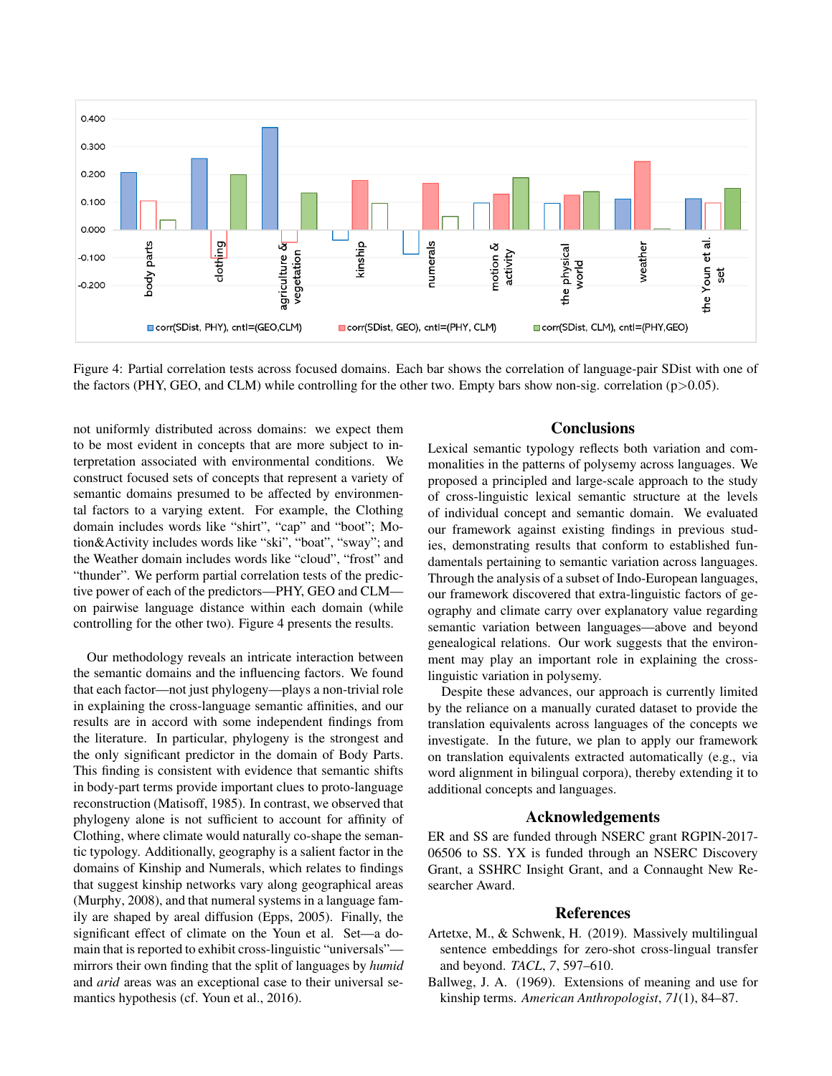

Figure 4: Partial correlation tests across focused domains. Each bar shows the correlation of language-pair SDist with one of the factors (PHY, GEO, and CLM) while controlling for the other two. Empty bars show non-sig. correlation ( $p>0.05$ ).

not uniformly distributed across domains: we expect them to be most evident in concepts that are more subject to interpretation associated with environmental conditions. We construct focused sets of concepts that represent a variety of semantic domains presumed to be affected by environmental factors to a varying extent. For example, the Clothing domain includes words like "shirt", "cap" and "boot"; Motion&Activity includes words like "ski", "boat", "sway"; and the Weather domain includes words like "cloud", "frost" and "thunder". We perform partial correlation tests of the predictive power of each of the predictors—PHY, GEO and CLM on pairwise language distance within each domain (while controlling for the other two). Figure 4 presents the results.

Our methodology reveals an intricate interaction between the semantic domains and the influencing factors. We found that each factor—not just phylogeny—plays a non-trivial role in explaining the cross-language semantic affinities, and our results are in accord with some independent findings from the literature. In particular, phylogeny is the strongest and the only significant predictor in the domain of Body Parts. This finding is consistent with evidence that semantic shifts in body-part terms provide important clues to proto-language reconstruction (Matisoff, 1985). In contrast, we observed that phylogeny alone is not sufficient to account for affinity of Clothing, where climate would naturally co-shape the semantic typology. Additionally, geography is a salient factor in the domains of Kinship and Numerals, which relates to findings that suggest kinship networks vary along geographical areas (Murphy, 2008), and that numeral systems in a language family are shaped by areal diffusion (Epps, 2005). Finally, the significant effect of climate on the Youn et al. Set—a domain that is reported to exhibit cross-linguistic "universals" mirrors their own finding that the split of languages by *humid* and *arid* areas was an exceptional case to their universal semantics hypothesis (cf. Youn et al., 2016).

### **Conclusions**

Lexical semantic typology reflects both variation and commonalities in the patterns of polysemy across languages. We proposed a principled and large-scale approach to the study of cross-linguistic lexical semantic structure at the levels of individual concept and semantic domain. We evaluated our framework against existing findings in previous studies, demonstrating results that conform to established fundamentals pertaining to semantic variation across languages. Through the analysis of a subset of Indo-European languages, our framework discovered that extra-linguistic factors of geography and climate carry over explanatory value regarding semantic variation between languages—above and beyond genealogical relations. Our work suggests that the environment may play an important role in explaining the crosslinguistic variation in polysemy.

Despite these advances, our approach is currently limited by the reliance on a manually curated dataset to provide the translation equivalents across languages of the concepts we investigate. In the future, we plan to apply our framework on translation equivalents extracted automatically (e.g., via word alignment in bilingual corpora), thereby extending it to additional concepts and languages.

### Acknowledgements

ER and SS are funded through NSERC grant RGPIN-2017- 06506 to SS. YX is funded through an NSERC Discovery Grant, a SSHRC Insight Grant, and a Connaught New Researcher Award.

### References

- Artetxe, M., & Schwenk, H. (2019). Massively multilingual sentence embeddings for zero-shot cross-lingual transfer and beyond. *TACL*, *7*, 597–610.
- Ballweg, J. A. (1969). Extensions of meaning and use for kinship terms. *American Anthropologist*, *71*(1), 84–87.